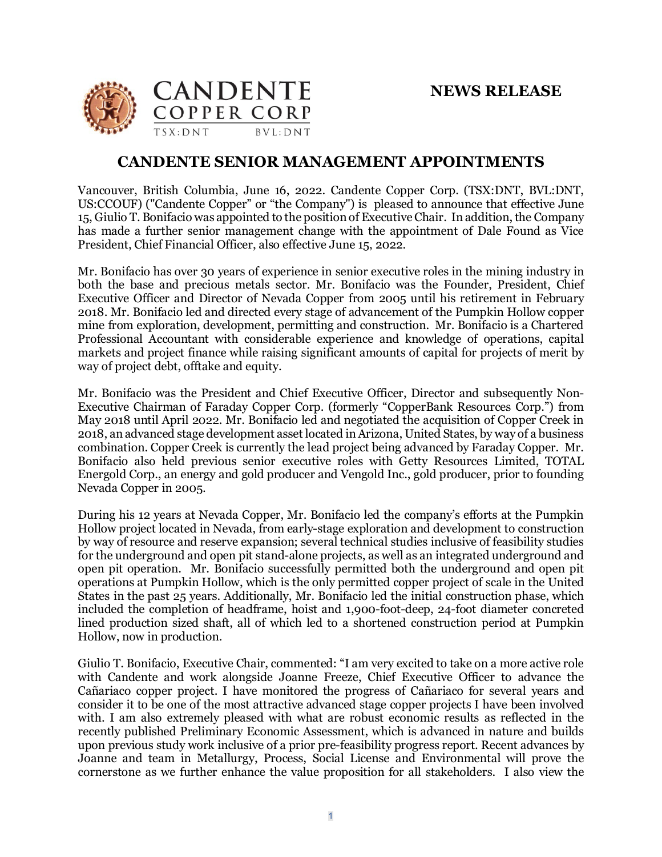

## **CANDENTE SENIOR MANAGEMENT APPOINTMENTS**

Vancouver, British Columbia, June 16, 2022. Candente Copper Corp. (TSX:DNT, BVL:DNT, US:CCOUF) ("Candente Copper" or "the Company") is pleased to announce that effective June 15, Giulio T. Bonifacio was appointed to the position of Executive Chair. In addition, the Company has made a further senior management change with the appointment of Dale Found as Vice President, Chief Financial Officer, also effective June 15, 2022.

Mr. Bonifacio has over 30 years of experience in senior executive roles in the mining industry in both the base and precious metals sector. Mr. Bonifacio was the Founder, President, Chief Executive Officer and Director of Nevada Copper from 2005 until his retirement in February 2018. Mr. Bonifacio led and directed every stage of advancement of the Pumpkin Hollow copper mine from exploration, development, permitting and construction. Mr. Bonifacio is a Chartered Professional Accountant with considerable experience and knowledge of operations, capital markets and project finance while raising significant amounts of capital for projects of merit by way of project debt, offtake and equity.

Mr. Bonifacio was the President and Chief Executive Officer, Director and subsequently Non-Executive Chairman of Faraday Copper Corp. (formerly "CopperBank Resources Corp.") from May 2018 until April 2022. Mr. Bonifacio led and negotiated the acquisition of Copper Creek in 2018, an advanced stage development assetlocated inArizona, United States, by way of a business combination. Copper Creek is currently the lead project being advanced by Faraday Copper. Mr. Bonifacio also held previous senior executive roles with Getty Resources Limited, TOTAL Energold Corp., an energy and gold producer and Vengold Inc., gold producer, prior to founding Nevada Copper in 2005.

During his 12 years at Nevada Copper, Mr. Bonifacio led the company's efforts at the Pumpkin Hollow project located in Nevada, from early-stage exploration and development to construction by way of resource and reserve expansion; several technical studies inclusive of feasibility studies for the underground and open pit stand-alone projects, as well as an integrated underground and open pit operation. Mr. Bonifacio successfully permitted both the underground and open pit operations at Pumpkin Hollow, which is the only permitted copper project of scale in the United States in the past 25 years. Additionally, Mr. Bonifacio led the initial construction phase, which included the completion of headframe, hoist and 1,900-foot-deep, 24-foot diameter concreted lined production sized shaft, all of which led to a shortened construction period at Pumpkin Hollow, now in production.

Giulio T. Bonifacio, Executive Chair, commented: "I am very excited to take on a more active role with Candente and work alongside Joanne Freeze, Chief Executive Officer to advance the Cañariaco copper project. I have monitored the progress of Cañariaco for several years and consider it to be one of the most attractive advanced stage copper projects I have been involved with. I am also extremely pleased with what are robust economic results as reflected in the recently published Preliminary Economic Assessment, which is advanced in nature and builds upon previous study work inclusive of a prior pre-feasibility progress report. Recent advances by Joanne and team in Metallurgy, Process, Social License and Environmental will prove the cornerstone as we further enhance the value proposition for all stakeholders. I also view the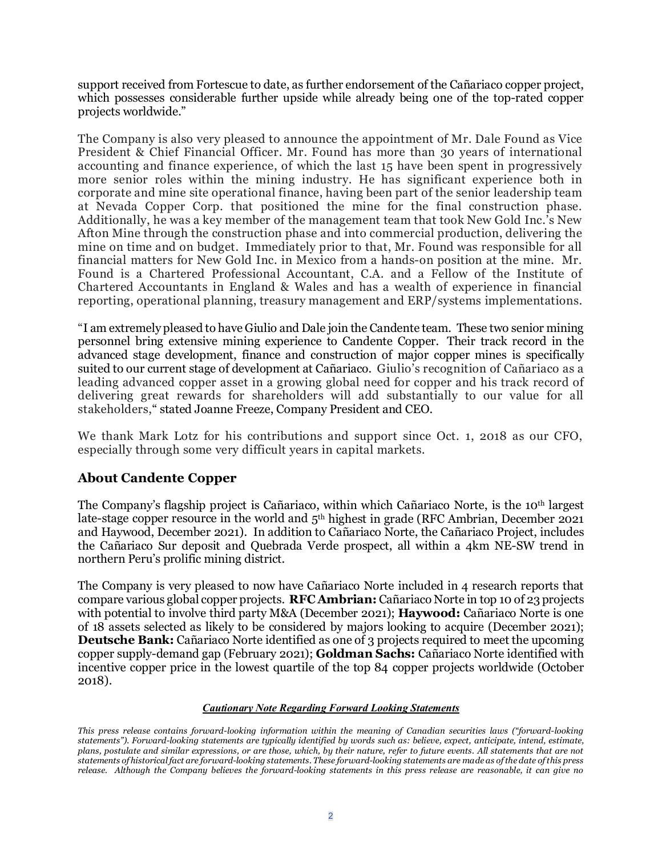support received from Fortescue to date, as further endorsement of the Cañariaco copper project, which possesses considerable further upside while already being one of the top-rated copper projects worldwide."

The Company is also very pleased to announce the appointment of Mr. Dale Found as Vice President & Chief Financial Officer. Mr. Found has more than 30 years of international accounting and finance experience, of which the last 15 have been spent in progressively more senior roles within the mining industry. He has significant experience both in corporate and mine site operational finance, having been part of the senior leadership team at Nevada Copper Corp. that positioned the mine for the final construction phase. Additionally, he was a key member of the management team that took New Gold Inc.'s New Afton Mine through the construction phase and into commercial production, delivering the mine on time and on budget. Immediately prior to that, Mr. Found was responsible for all financial matters for New Gold Inc. in Mexico from a hands-on position at the mine. Mr. Found is a Chartered Professional Accountant, C.A. and a Fellow of the Institute of Chartered Accountants in England & Wales and has a wealth of experience in financial reporting, operational planning, treasury management and ERP/systems implementations.

"I am extremely pleased to have Giulio and Dale join the Candente team. These two senior mining personnel bring extensive mining experience to Candente Copper. Their track record in the advanced stage development, finance and construction of major copper mines is specifically suited to our current stage of development at Cañariaco. Giulio's recognition of Cañariaco as a leading advanced copper asset in a growing global need for copper and his track record of delivering great rewards for shareholders will add substantially to our value for all stakeholders," stated Joanne Freeze, Company President and CEO.

We thank Mark Lotz for his contributions and support since Oct. 1, 2018 as our CFO, especially through some very difficult years in capital markets*.*

## **About Candente Copper**

The Company's flagship project is Cañariaco, within which Cañariaco Norte, is the 10th largest late-stage copper resource in the world and 5<sup>th</sup> highest in grade (RFC Ambrian, December 2021) and Haywood, December 2021). In addition to Cañariaco Norte, the Cañariaco Project, includes the Cañariaco Sur deposit and Quebrada Verde prospect, all within a 4km NE-SW trend in northern Peru's prolific mining district.

The Company is very pleased to now have Cañariaco Norte included in 4 research reports that compare various global copper projects. **RFC Ambrian:** Cañariaco Norte in top 10 of 23 projects with potential to involve third party M&A (December 2021); **Haywood:** Cañariaco Norte is one of 18 assets selected as likely to be considered by majors looking to acquire (December 2021); **Deutsche Bank:** Cañariaco Norte identified as one of 3 projects required to meet the upcoming copper supply-demand gap (February 2021); **Goldman Sachs:** Cañariaco Norte identified with incentive copper price in the lowest quartile of the top 84 copper projects worldwide (October 2018).

## *Cautionary Note Regarding Forward Looking Statements*

*This press release contains forward-looking information within the meaning of Canadian securities laws ("forward-looking statements"). Forward-looking statements are typically identified by words such as: believe, expect, anticipate, intend, estimate, plans, postulate and similar expressions, or are those, which, by their nature, refer to future events. All statements that are not statements of historical fact are forward-looking statements. These forward-looking statements are made as of the date of this press release. Although the Company believes the forward-looking statements in this press release are reasonable, it can give no*